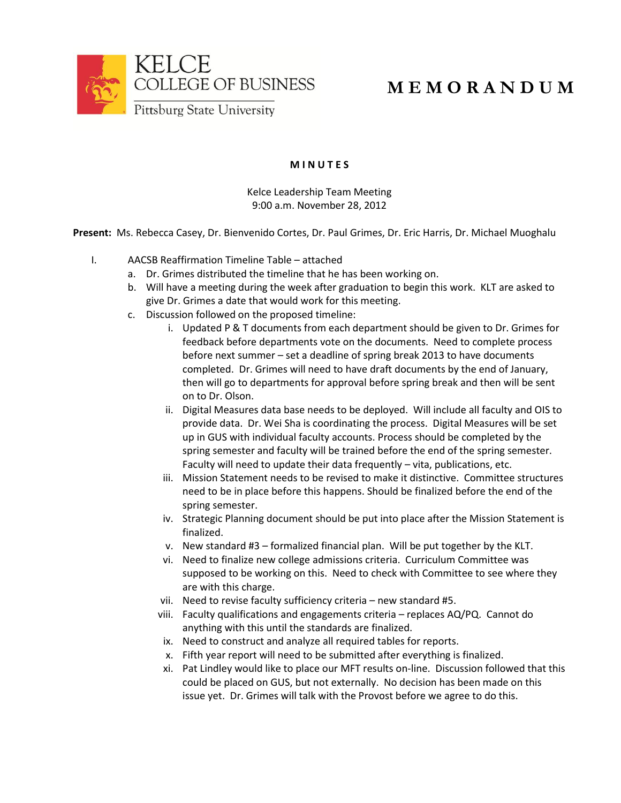

## **M E M O R A N D U M**

## **M I N U T E S**

Kelce Leadership Team Meeting 9:00 a.m. November 28, 2012

**Present:** Ms. Rebecca Casey, Dr. Bienvenido Cortes, Dr. Paul Grimes, Dr. Eric Harris, Dr. Michael Muoghalu

- I. AACSB Reaffirmation Timeline Table attached
	- a. Dr. Grimes distributed the timeline that he has been working on.
	- b. Will have a meeting during the week after graduation to begin this work. KLT are asked to give Dr. Grimes a date that would work for this meeting.
	- c. Discussion followed on the proposed timeline:
		- i. Updated P & T documents from each department should be given to Dr. Grimes for feedback before departments vote on the documents. Need to complete process before next summer – set a deadline of spring break 2013 to have documents completed. Dr. Grimes will need to have draft documents by the end of January, then will go to departments for approval before spring break and then will be sent on to Dr. Olson.
		- ii. Digital Measures data base needs to be deployed. Will include all faculty and OIS to provide data. Dr. Wei Sha is coordinating the process. Digital Measures will be set up in GUS with individual faculty accounts. Process should be completed by the spring semester and faculty will be trained before the end of the spring semester. Faculty will need to update their data frequently – vita, publications, etc.
		- iii. Mission Statement needs to be revised to make it distinctive. Committee structures need to be in place before this happens. Should be finalized before the end of the spring semester.
		- iv. Strategic Planning document should be put into place after the Mission Statement is finalized.
		- v. New standard #3 formalized financial plan. Will be put together by the KLT.
		- vi. Need to finalize new college admissions criteria. Curriculum Committee was supposed to be working on this. Need to check with Committee to see where they are with this charge.
		- vii. Need to revise faculty sufficiency criteria new standard #5.
		- viii. Faculty qualifications and engagements criteria replaces AQ/PQ. Cannot do anything with this until the standards are finalized.
		- ix. Need to construct and analyze all required tables for reports.
		- x. Fifth year report will need to be submitted after everything is finalized.
		- xi. Pat Lindley would like to place our MFT results on-line. Discussion followed that this could be placed on GUS, but not externally. No decision has been made on this issue yet. Dr. Grimes will talk with the Provost before we agree to do this.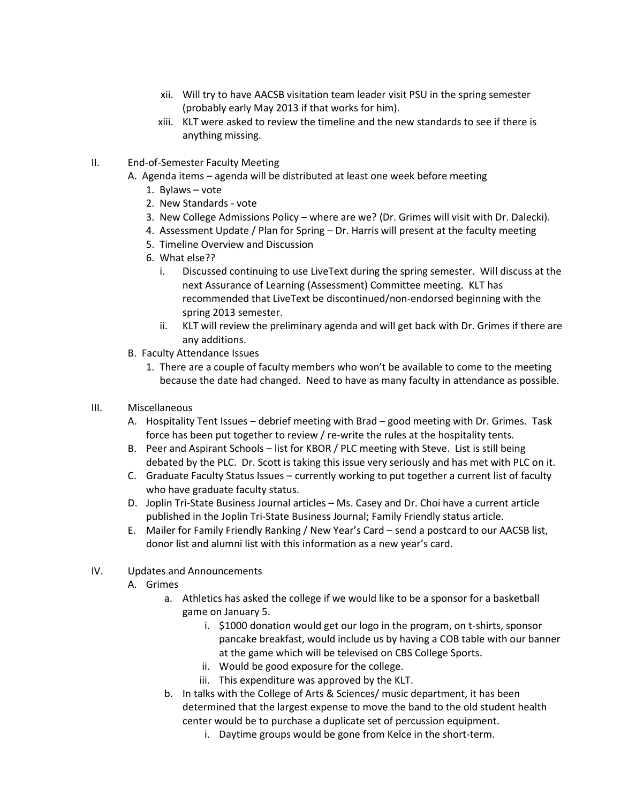- xii. Will try to have AACSB visitation team leader visit PSU in the spring semester (probably early May 2013 if that works for him).
- xiii. KLT were asked to review the timeline and the new standards to see if there is anything missing.
- II. End-of-Semester Faculty Meeting
	- A. Agenda items agenda will be distributed at least one week before meeting
		- 1. Bylaws vote
		- 2. New Standards vote
		- 3. New College Admissions Policy where are we? (Dr. Grimes will visit with Dr. Dalecki).
		- 4. Assessment Update / Plan for Spring Dr. Harris will present at the faculty meeting
		- 5. Timeline Overview and Discussion
		- 6. What else??
			- i. Discussed continuing to use LiveText during the spring semester. Will discuss at the next Assurance of Learning (Assessment) Committee meeting. KLT has recommended that LiveText be discontinued/non-endorsed beginning with the spring 2013 semester.
			- ii. KLT will review the preliminary agenda and will get back with Dr. Grimes if there are any additions.
	- B. Faculty Attendance Issues
		- 1. There are a couple of faculty members who won't be available to come to the meeting because the date had changed. Need to have as many faculty in attendance as possible.
- III. Miscellaneous
	- A. Hospitality Tent Issues debrief meeting with Brad good meeting with Dr. Grimes. Task force has been put together to review / re-write the rules at the hospitality tents.
	- B. Peer and Aspirant Schools list for KBOR / PLC meeting with Steve. List is still being debated by the PLC. Dr. Scott is taking this issue very seriously and has met with PLC on it.
	- C. Graduate Faculty Status Issues currently working to put together a current list of faculty who have graduate faculty status.
	- D. Joplin Tri-State Business Journal articles Ms. Casey and Dr. Choi have a current article published in the Joplin Tri-State Business Journal; Family Friendly status article.
	- E. Mailer for Family Friendly Ranking / New Year's Card send a postcard to our AACSB list, donor list and alumni list with this information as a new year's card.
- IV. Updates and Announcements
	- A. Grimes
		- a. Athletics has asked the college if we would like to be a sponsor for a basketball game on January 5.
			- i. \$1000 donation would get our logo in the program, on t-shirts, sponsor pancake breakfast, would include us by having a COB table with our banner at the game which will be televised on CBS College Sports.
			- ii. Would be good exposure for the college.
			- iii. This expenditure was approved by the KLT.
		- b. In talks with the College of Arts & Sciences/ music department, it has been determined that the largest expense to move the band to the old student health center would be to purchase a duplicate set of percussion equipment.
			- i. Daytime groups would be gone from Kelce in the short-term.